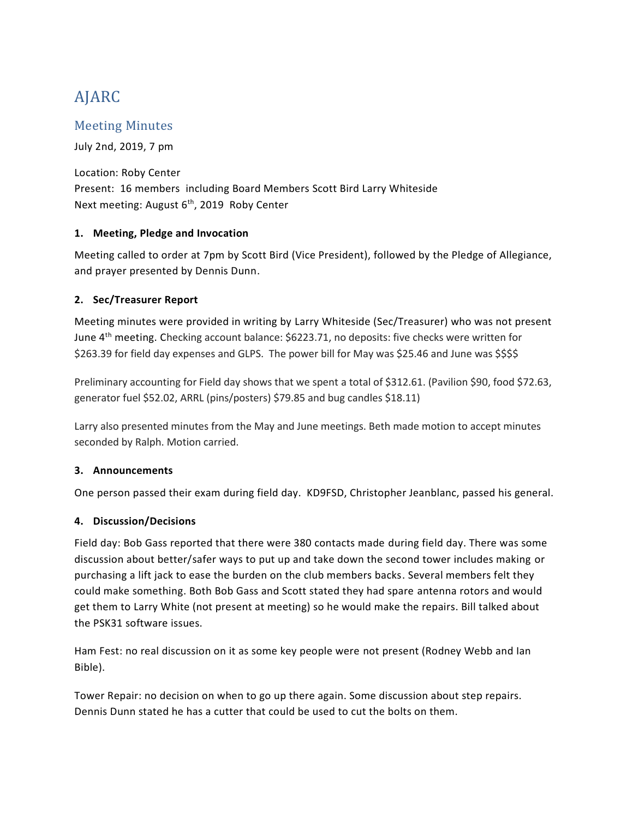# AJARC

# Meeting Minutes

July 2nd, 2019, 7 pm

Location: Roby Center Present: 16 members including Board Members Scott Bird Larry Whiteside Next meeting: August 6<sup>th</sup>, 2019 Roby Center

# **1. Meeting, Pledge and Invocation**

Meeting called to order at 7pm by Scott Bird (Vice President), followed by the Pledge of Allegiance, and prayer presented by Dennis Dunn.

# **2. Sec/Treasurer Report**

Meeting minutes were provided in writing by Larry Whiteside (Sec/Treasurer) who was not present June 4th meeting. Checking account balance: \$6223.71, no deposits: five checks were written for \$263.39 for field day expenses and GLPS. The power bill for May was \$25.46 and June was \$\$\$\$

Preliminary accounting for Field day shows that we spent a total of \$312.61. (Pavilion \$90, food \$72.63, generator fuel \$52.02, ARRL (pins/posters) \$79.85 and bug candles \$18.11)

Larry also presented minutes from the May and June meetings. Beth made motion to accept minutes seconded by Ralph. Motion carried.

### **3. Announcements**

One person passed their exam during field day. KD9FSD, Christopher Jeanblanc, passed his general.

### **4. Discussion/Decisions**

Field day: Bob Gass reported that there were 380 contacts made during field day. There was some discussion about better/safer ways to put up and take down the second tower includes making or purchasing a lift jack to ease the burden on the club members backs. Several members felt they could make something. Both Bob Gass and Scott stated they had spare antenna rotors and would get them to Larry White (not present at meeting) so he would make the repairs. Bill talked about the PSK31 software issues.

Ham Fest: no real discussion on it as some key people were not present (Rodney Webb and Ian Bible).

Tower Repair: no decision on when to go up there again. Some discussion about step repairs. Dennis Dunn stated he has a cutter that could be used to cut the bolts on them.